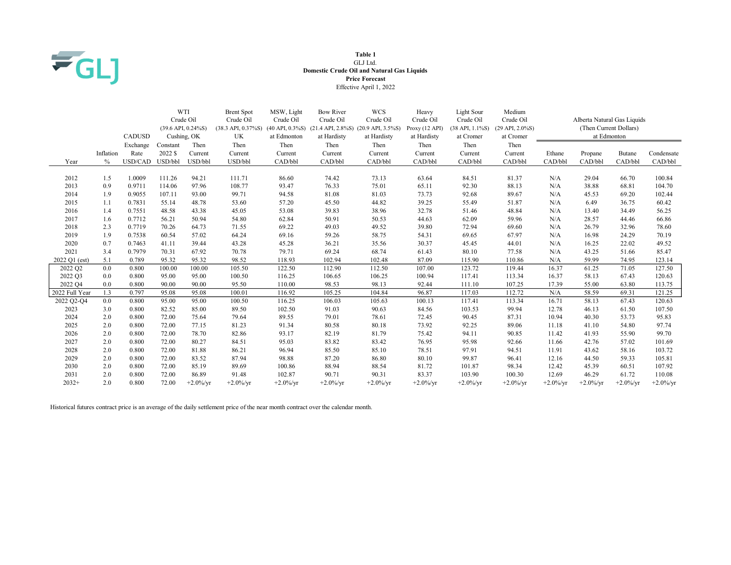

### Table 1 GLJ Ltd. Domestic Crude Oil and Natural Gas Liquids Price Forecast Effective April 1, 2022

|                |           | <b>CADUSD</b> |          | WTI<br>Crude Oil<br>$(39.6 \text{ API}, 0.24\% \text{S})$<br>Cushing, OK | <b>Brent Spot</b><br>Crude Oil<br>$(38.3 \text{ API}, 0.37\% \text{S})$<br>UK | MSW, Light<br>Crude Oil<br>at Edmonton | <b>Bow River</b><br>Crude Oil<br>at Hardisty | <b>WCS</b><br>Crude Oil<br>(40 API, 0.3%S) (21.4 API, 2.8%S) (20.9 API, 3.5%S)<br>at Hardisty | Heavy<br>Crude Oil<br>Proxy(12 API)<br>at Hardisty | Light Sour<br>Crude Oil<br>$(38$ API, $1.1\%$ S)<br>at Cromer | Medium<br>Crude Oil<br>$(29$ API, $2.0\%$ S)<br>at Cromer | at Edmonton  |              | Alberta Natural Gas Liquids<br>(Then Current Dollars) |              |
|----------------|-----------|---------------|----------|--------------------------------------------------------------------------|-------------------------------------------------------------------------------|----------------------------------------|----------------------------------------------|-----------------------------------------------------------------------------------------------|----------------------------------------------------|---------------------------------------------------------------|-----------------------------------------------------------|--------------|--------------|-------------------------------------------------------|--------------|
|                |           | Exchange      | Constant | Then                                                                     | Then                                                                          | Then                                   | Then                                         | Then                                                                                          | Then                                               | Then                                                          | Then                                                      |              |              |                                                       |              |
|                | Inflation | Rate          | 2022 \$  | Current                                                                  | Current                                                                       | Current                                | Current                                      | Current                                                                                       | Current                                            | Current                                                       | Current                                                   | Ethane       | Propane      | <b>Butane</b>                                         | Condensate   |
| Year           | $\%$      | USD/CAD       | USD/bbl  | USD/bbl                                                                  | USD/bbl                                                                       | CAD/bbl                                | CAD/bbl                                      | CAD/bbl                                                                                       | CAD/bbl                                            | CAD/bbl                                                       | CAD/bbl                                                   | CAD/bbl      | CAD/bbl      | CAD/bbl                                               | CAD/bbl      |
|                |           |               |          |                                                                          |                                                                               |                                        |                                              |                                                                                               |                                                    |                                                               |                                                           |              |              |                                                       |              |
| 2012           | 1.5       | 1.0009        | 111.26   | 94.21                                                                    | 111.71                                                                        | 86.60                                  | 74.42                                        | 73.13                                                                                         | 63.64                                              | 84.51                                                         | 81.37                                                     | N/A          | 29.04        | 66.70                                                 | 100.84       |
| 2013           | 0.9       | 0.9711        | 114.06   | 97.96                                                                    | 108.77                                                                        | 93.47                                  | 76.33                                        | 75.01                                                                                         | 65.11                                              | 92.30                                                         | 88.13                                                     | N/A          | 38.88        | 68.81                                                 | 104.70       |
| 2014           | 1.9       | 0.9055        | 107.11   | 93.00                                                                    | 99.71                                                                         | 94.58                                  | 81.08                                        | 81.03                                                                                         | 73.73                                              | 92.68                                                         | 89.67                                                     | N/A          | 45.53        | 69.20                                                 | 102.44       |
| 2015           | 1.1       | 0.7831        | 55.14    | 48.78                                                                    | 53.60                                                                         | 57.20                                  | 45.50                                        | 44.82                                                                                         | 39.25                                              | 55.49                                                         | 51.87                                                     | N/A          | 6.49         | 36.75                                                 | 60.42        |
| 2016           | 1.4       | 0.7551        | 48.58    | 43.38                                                                    | 45.05                                                                         | 53.08                                  | 39.83                                        | 38.96                                                                                         | 32.78                                              | 51.46                                                         | 48.84                                                     | N/A          | 13.40        | 34.49                                                 | 56.25        |
| 2017           | 1.6       | 0.7712        | 56.21    | 50.94                                                                    | 54.80                                                                         | 62.84                                  | 50.91                                        | 50.53                                                                                         | 44.63                                              | 62.09                                                         | 59.96                                                     | N/A          | 28.57        | 44.46                                                 | 66.86        |
| 2018           | 2.3       | 0.7719        | 70.26    | 64.73                                                                    | 71.55                                                                         | 69.22                                  | 49.03                                        | 49.52                                                                                         | 39.80                                              | 72.94                                                         | 69.60                                                     | N/A          | 26.79        | 32.96                                                 | 78.60        |
| 2019           | 1.9       | 0.7538        | 60.54    | 57.02                                                                    | 64.24                                                                         | 69.16                                  | 59.26                                        | 58.75                                                                                         | 54.31                                              | 69.65                                                         | 67.97                                                     | N/A          | 16.98        | 24.29                                                 | 70.19        |
| 2020           | 0.7       | 0.7463        | 41.11    | 39.44                                                                    | 43.28                                                                         | 45.28                                  | 36.21                                        | 35.56                                                                                         | 30.37                                              | 45.45                                                         | 44.01                                                     | N/A          | 16.25        | 22.02                                                 | 49.52        |
| 2021           | 3.4       | 0.7979        | 70.31    | 67.92                                                                    | 70.78                                                                         | 79.71                                  | 69.24                                        | 68.74                                                                                         | 61.43                                              | 80.10                                                         | 77.58                                                     | N/A          | 43.25        | 51.66                                                 | 85.47        |
| 2022 Q1 (est)  | 5.1       | 0.789         | 95.32    | 95.32                                                                    | 98.52                                                                         | 118.93                                 | 102.94                                       | 102.48                                                                                        | 87.09                                              | 115.90                                                        | 110.86                                                    | N/A          | 59.99        | 74.95                                                 | 123.14       |
| 2022 Q2        | 0.0       | 0.800         | 100.00   | 100.00                                                                   | 105.50                                                                        | 122.50                                 | 112.90                                       | 112.50                                                                                        | 107.00                                             | 123.72                                                        | 119.44                                                    | 16.37        | 61.25        | 71.05                                                 | 127.50       |
| 2022 Q3        | 0.0       | 0.800         | 95.00    | 95.00                                                                    | 100.50                                                                        | 116.25                                 | 106.65                                       | 106.25                                                                                        | 100.94                                             | 117.41                                                        | 113.34                                                    | 16.37        | 58.13        | 67.43                                                 | 120.63       |
| 2022 Q4        | 0.0       | 0.800         | 90.00    | 90.00                                                                    | 95.50                                                                         | 110.00                                 | 98.53                                        | 98.13                                                                                         | 92.44                                              | 111.10                                                        | 107.25                                                    | 17.39        | 55.00        | 63.80                                                 | 113.75       |
| 2022 Full Year | 1.3       | 0.797         | 95.08    | 95.08                                                                    | 100.01                                                                        | 116.92                                 | 105.25                                       | 104.84                                                                                        | 96.87                                              | 117.03                                                        | 112.72                                                    | N/A          | 58.59        | 69.31                                                 | 121.25       |
| 2022 Q2-Q4     | 0.0       | 0.800         | 95.00    | 95.00                                                                    | 100.50                                                                        | 116.25                                 | 106.03                                       | 105.63                                                                                        | 100.13                                             | 117.41                                                        | 113.34                                                    | 16.71        | 58.13        | 67.43                                                 | 120.63       |
| 2023           | 3.0       | 0.800         | 82.52    | 85.00                                                                    | 89.50                                                                         | 102.50                                 | 91.03                                        | 90.63                                                                                         | 84.56                                              | 103.53                                                        | 99.94                                                     | 12.78        | 46.13        | 61.50                                                 | 107.50       |
| 2024           | 2.0       | 0.800         | 72.00    | 75.64                                                                    | 79.64                                                                         | 89.55                                  | 79.01                                        | 78.61                                                                                         | 72.45                                              | 90.45                                                         | 87.31                                                     | 10.94        | 40.30        | 53.73                                                 | 95.83        |
| 2025           | 2.0       | 0.800         | 72.00    | 77.15                                                                    | 81.23                                                                         | 91.34                                  | 80.58                                        | 80.18                                                                                         | 73.92                                              | 92.25                                                         | 89.06                                                     | 11.18        | 41.10        | 54.80                                                 | 97.74        |
| 2026           | 2.0       | 0.800         | 72.00    | 78.70                                                                    | 82.86                                                                         | 93.17                                  | 82.19                                        | 81.79                                                                                         | 75.42                                              | 94.11                                                         | 90.85                                                     | 11.42        | 41.93        | 55.90                                                 | 99.70        |
| 2027           | 2.0       | 0.800         | 72.00    | 80.27                                                                    | 84.51                                                                         | 95.03                                  | 83.82                                        | 83.42                                                                                         | 76.95                                              | 95.98                                                         | 92.66                                                     | 11.66        | 42.76        | 57.02                                                 | 101.69       |
| 2028           | 2.0       | 0.800         | 72.00    | 81.88                                                                    | 86.21                                                                         | 96.94                                  | 85.50                                        | 85.10                                                                                         | 78.51                                              | 97.91                                                         | 94.51                                                     | 11.91        | 43.62        | 58.16                                                 | 103.72       |
| 2029           | 2.0       | 0.800         | 72.00    | 83.52                                                                    | 87.94                                                                         | 98.88                                  | 87.20                                        | 86.80                                                                                         | 80.10                                              | 99.87                                                         | 96.41                                                     | 12.16        | 44.50        | 59.33                                                 | 105.81       |
| 2030           | 2.0       | 0.800         | 72.00    | 85.19                                                                    | 89.69                                                                         | 100.86                                 | 88.94                                        | 88.54                                                                                         | 81.72                                              | 101.87                                                        | 98.34                                                     | 12.42        | 45.39        | 60.51                                                 | 107.92       |
| 2031           | 2.0       | 0.800         | 72.00    | 86.89                                                                    | 91.48                                                                         | 102.87                                 | 90.71                                        | 90.31                                                                                         | 83.37                                              | 103.90                                                        | 100.30                                                    | 12.69        | 46.29        | 61.72                                                 | 110.08       |
| $2032+$        | 2.0       | 0.800         | 72.00    | $+2.0\%$ /vr                                                             | $+2.0\%$ /vr                                                                  | $+2.0\%$ /vr                           | $+2.0\%$ /vr                                 | $+2.0\%$ /vr                                                                                  | $+2.0\%$ /vr                                       | $+2.0\%$ /vr                                                  | $+2.0\%$ /vr                                              | $+2.0\%$ /vr | $+2.0\%$ /vr | $+2.0\%$ /vr                                          | $+2.0\%$ /vr |

Historical futures contract price is an average of the daily settlement price of the near month contract over the calendar month.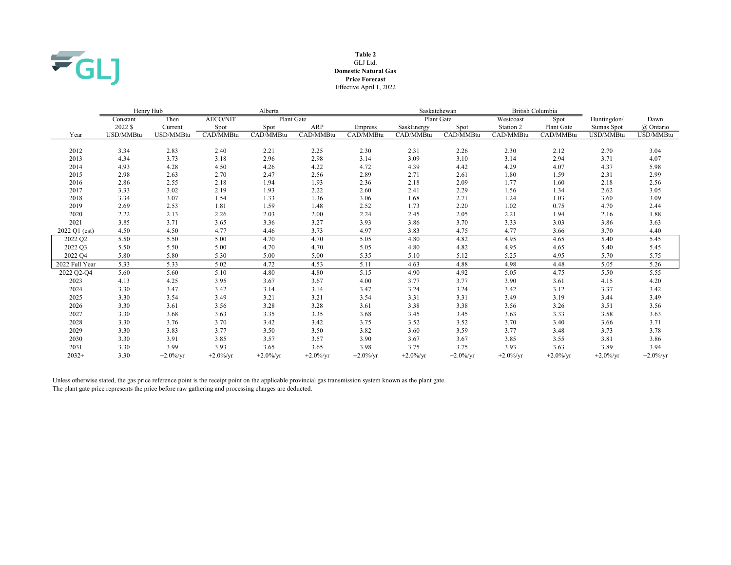

### GLJ Ltd. Table 2 Domestic Natural Gas Effective April 1, 2022 Price Forecast

|                | Henry Hub |              |                 | Alberta      |              |              | Saskatchewan |              | British Columbia |              |              |              |
|----------------|-----------|--------------|-----------------|--------------|--------------|--------------|--------------|--------------|------------------|--------------|--------------|--------------|
|                | Constant  | Then         | <b>AECO/NIT</b> | Plant Gate   |              |              |              | Plant Gate   | Westcoast        | Spot         | Huntingdon/  | Dawn         |
|                | 2022 \$   | Current      | Spot            | Spot         | ARP          | Empress      | SaskEnergy   | Spot         | Station 2        | Plant Gate   | Sumas Spot   | @ Ontario    |
| Year           | USD/MMBtu | USD/MMBtu    | CAD/MMBtu       | CAD/MMBtu    | CAD/MMBtu    | CAD/MMBtu    | CAD/MMBtu    | CAD/MMBtu    | CAD/MMBtu        | CAD/MMBtu    | USD/MMBtu    | USD/MMBtu    |
|                |           |              |                 |              |              |              |              |              |                  |              |              |              |
| 2012           | 3.34      | 2.83         | 2.40            | 2.21         | 2.25         | 2.30         | 2.31         | 2.26         | 2.30             | 2.12         | 2.70         | 3.04         |
| 2013           | 4.34      | 3.73         | 3.18            | 2.96         | 2.98         | 3.14         | 3.09         | 3.10         | 3.14             | 2.94         | 3.71         | 4.07         |
| 2014           | 4.93      | 4.28         | 4.50            | 4.26         | 4.22         | 4.72         | 4.39         | 4.42         | 4.29             | 4.07         | 4.37         | 5.98         |
| 2015           | 2.98      | 2.63         | 2.70            | 2.47         | 2.56         | 2.89         | 2.71         | 2.61         | 1.80             | 1.59         | 2.31         | 2.99         |
| 2016           | 2.86      | 2.55         | 2.18            | 1.94         | 1.93         | 2.36         | 2.18         | 2.09         | 1.77             | 1.60         | 2.18         | 2.56         |
| 2017           | 3.33      | 3.02         | 2.19            | 1.93         | 2.22         | 2.60         | 2.41         | 2.29         | 1.56             | 1.34         | 2.62         | 3.05         |
| 2018           | 3.34      | 3.07         | 1.54            | 1.33         | 1.36         | 3.06         | 1.68         | 2.71         | 1.24             | 1.03         | 3.60         | 3.09         |
| 2019           | 2.69      | 2.53         | 1.81            | 1.59         | 1.48         | 2.52         | 1.73         | 2.20         | 1.02             | 0.75         | 4.70         | 2.44         |
| 2020           | 2.22      | 2.13         | 2.26            | 2.03         | 2.00         | 2.24         | 2.45         | 2.05         | 2.21             | 1.94         | 2.16         | 1.88         |
| 2021           | 3.85      | 3.71         | 3.65            | 3.36         | 3.27         | 3.93         | 3.86         | 3.70         | 3.33             | 3.03         | 3.86         | 3.63         |
| 2022 Q1 (est)  | 4.50      | 4.50         | 4.77            | 4.46         | 3.73         | 4.97         | 3.83         | 4.75         | 4.77             | 3.66         | 3.70         | 4.40         |
| 2022 Q2        | 5.50      | 5.50         | 5.00            | 4.70         | 4.70         | 5.05         | 4.80         | 4.82         | 4.95             | 4.65         | 5.40         | 5.45         |
| 2022 Q3        | 5.50      | 5.50         | 5.00            | 4.70         | 4.70         | 5.05         | 4.80         | 4.82         | 4.95             | 4.65         | 5.40         | 5.45         |
| 2022 Q4        | 5.80      | 5.80         | 5.30            | 5.00         | 5.00         | 5.35         | 5.10         | 5.12         | 5.25             | 4.95         | 5.70         | 5.75         |
| 2022 Full Year | 5.33      | 5.33         | 5.02            | 4.72         | 4.53         | 5.11         | 4.63         | 4.88         | 4.98             | 4.48         | 5.05         | 5.26         |
| 2022 Q2-Q4     | 5.60      | 5.60         | 5.10            | 4.80         | 4.80         | 5.15         | 4.90         | 4.92         | 5.05             | 4.75         | 5.50         | 5.55         |
| 2023           | 4.13      | 4.25         | 3.95            | 3.67         | 3.67         | 4.00         | 3.77         | 3.77         | 3.90             | 3.61         | 4.15         | 4.20         |
| 2024           | 3.30      | 3.47         | 3.42            | 3.14         | 3.14         | 3.47         | 3.24         | 3.24         | 3.42             | 3.12         | 3.37         | 3.42         |
| 2025           | 3.30      | 3.54         | 3.49            | 3.21         | 3.21         | 3.54         | 3.31         | 3.31         | 3.49             | 3.19         | 3.44         | 3.49         |
| 2026           | 3.30      | 3.61         | 3.56            | 3.28         | 3.28         | 3.61         | 3.38         | 3.38         | 3.56             | 3.26         | 3.51         | 3.56         |
| 2027           | 3.30      | 3.68         | 3.63            | 3.35         | 3.35         | 3.68         | 3.45         | 3.45         | 3.63             | 3.33         | 3.58         | 3.63         |
| 2028           | 3.30      | 3.76         | 3.70            | 3.42         | 3.42         | 3.75         | 3.52         | 3.52         | 3.70             | 3.40         | 3.66         | 3.71         |
| 2029           | 3.30      | 3.83         | 3.77            | 3.50         | 3.50         | 3.82         | 3.60         | 3.59         | 3.77             | 3.48         | 3.73         | 3.78         |
| 2030           | 3.30      | 3.91         | 3.85            | 3.57         | 3.57         | 3.90         | 3.67         | 3.67         | 3.85             | 3.55         | 3.81         | 3.86         |
| 2031           | 3.30      | 3.99         | 3.93            | 3.65         | 3.65         | 3.98         | 3.75         | 3.75         | 3.93             | 3.63         | 3.89         | 3.94         |
| $2032+$        | 3.30      | $+2.0\%$ /yr | $+2.0\%$ /yr    | $+2.0\%$ /yr | $+2.0\%$ /vr | $+2.0\%$ /vr | $+2.0\%$ /yr | $+2.0\%$ /vr | $+2.0\%$ /yr     | $+2.0\%$ /yr | $+2.0\%$ /yr | $+2.0\%$ /yr |

Unless otherwise stated, the gas price reference point is the receipt point on the applicable provincial gas transmission system known as the plant gate. The plant gate price represents the price before raw gathering and processing charges are deducted.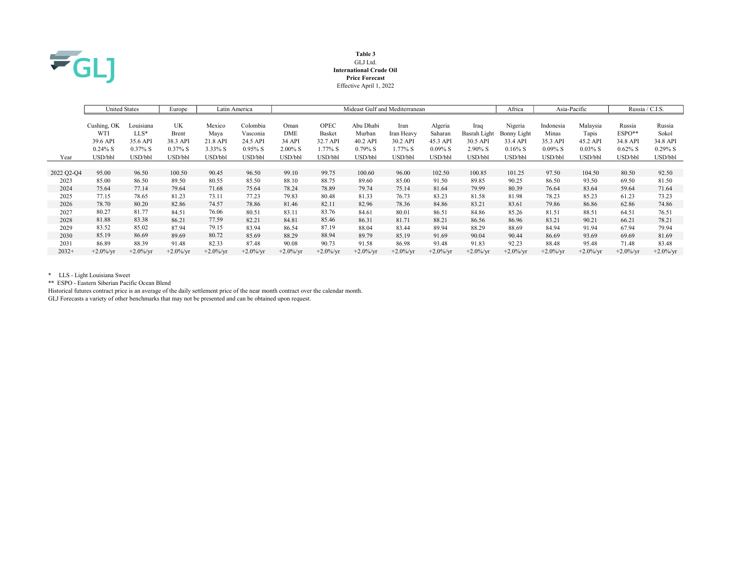

#### Table 3 GLJ Ltd. International Crude Oil Price Forecast Effective April 1, 2022

|            | <b>United States</b> |                     | Europe            |                  | Latin America        | Mideast Gulf and Mediterranean |                    |                    |                        |                     | Africa                   | Asia-Pacific            |                   | Russia / C.I.S.   |                      |                   |
|------------|----------------------|---------------------|-------------------|------------------|----------------------|--------------------------------|--------------------|--------------------|------------------------|---------------------|--------------------------|-------------------------|-------------------|-------------------|----------------------|-------------------|
|            | Cushing, OK          | Louisiana           | UK                | Mexico           | Colombia             | Oman                           | <b>OPEC</b>        | Abu Dhabi          | Iran                   | Algeria             | Iraq                     | Nigeria                 | Indonesia         | Malaysia          | Russia               | Russia            |
|            | WTI<br>39.6 API      | $LLS^*$<br>35.6 API | Brent<br>38.3 API | Maya<br>21.8 API | Vasconia<br>24.5 API | DME<br>34 API                  | Basket<br>32.7 API | Murban<br>40.2 API | Iran Heavy<br>30.2 API | Saharan<br>45.3 API | Basrah Light<br>30.5 API | Bonny Light<br>33.4 API | Minas<br>35.3 API | Tapis<br>45.2 API | $ESPO**$<br>34.8 API | Sokol<br>34.8 API |
|            | $0.24\%$ S           | $0.37\%$ S          | $0.37\%$ S        | $3.33\%$ S       | $0.95\%$ S           | $2.00\%$ S                     | $1.77\%$ S         | $0.79\%$ S         | 1.77% S                | $0.09\%$ S          | 2.90% S                  | $0.16\%$ S              | $0.09\%$ S        | $0.03\%$ S        | $0.62\%$ S           | $0.29\%$ S        |
| Year       | USD/bbl              | USD/bbl             | USD/bbl           | USD/bbl          | USD/bbl              | USD/bbl                        | USD/bbl            | USD/bbl            | USD/bbl                | USD/bbl             | USD/bbl                  | USD/bbl                 | USD/bbl           | USD/bbl           | USD/bbl              | USD/bbl           |
|            |                      |                     |                   |                  |                      |                                |                    |                    |                        |                     |                          |                         |                   |                   |                      |                   |
| 2022 Q2-Q4 | 95.00                | 96.50               | 100.50            | 90.45            | 96.50                | 99.10                          | 99.75              | 100.60             | 96.00                  | 102.50              | 100.85                   | 101.25                  | 97.50             | 104.50            | 80.50                | 92.50             |
| 2023       | 85.00                | 86.50               | 89.50             | 80.55            | 85.50                | 88.10                          | 88.75              | 89.60              | 85.00                  | 91.50               | 89.85                    | 90.25                   | 86.50             | 93.50             | 69.50                | 81.50             |
| 2024       | 75.64                | 77.14               | 79.64             | 71.68            | 75.64                | 78.24                          | 78.89              | 79.74              | 75.14                  | 81.64               | 79.99                    | 80.39                   | 76.64             | 83.64             | 59.64                | 71.64             |
| 2025       | 77.15                | 78.65               | 81.23             | 73.11            | 77.23                | 79.83                          | 80.48              | 81.33              | 76.73                  | 83.23               | 81.58                    | 81.98                   | 78.23             | 85.23             | 61.23                | 73.23             |
| 2026       | 78.70                | 80.20               | 82.86             | 74.57            | 78.86                | 81.46                          | 82.11              | 82.96              | 78.36                  | 84.86               | 83.21                    | 83.61                   | 79.86             | 86.86             | 62.86                | 74.86             |
| 2027       | 80.27                | 81.77               | 84.51             | 76.06            | 80.51                | 83.11                          | 83.76              | 84.61              | 80.01                  | 86.51               | 84.86                    | 85.26                   | 81.51             | 88.51             | 64.51                | 76.51             |
| 2028       | 81.88                | 83.38               | 86.21             | 77.59            | 82.21                | 84.81                          | 85.46              | 86.31              | 81.71                  | 88.21               | 86.56                    | 86.96                   | 83.21             | 90.21             | 66.21                | 78.21             |
| 2029       | 83.52                | 85.02               | 87.94             | 79.15            | 83.94                | 86.54                          | 87.19              | 88.04              | 83.44                  | 89.94               | 88.29                    | 88.69                   | 84.94             | 91.94             | 67.94                | 79.94             |
| 2030       | 85.19                | 86.69               | 89.69             | 80.72            | 85.69                | 88.29                          | 88.94              | 89.79              | 85.19                  | 91.69               | 90.04                    | 90.44                   | 86.69             | 93.69             | 69.69                | 81.69             |
| 2031       | 86.89                | 88.39               | 91.48             | 82.33            | 87.48                | 90.08                          | 90.73              | 91.58              | 86.98                  | 93.48               | 91.83                    | 92.23                   | 88.48             | 95.48             | 71.48                | 83.48             |
| $2032+$    | $+2.0\%$ /vr         | $+2.0\%$ /yr        | $+2.0\%$ /vr      | $+2.0\%$ /vr     | $+2.0\%$ /yr         | $+2.0\%$ /yr                   | $+2.0\%$ /yr       | $+2.0\%$ /vr       | $+2.0\%$ /yr           | $+2.0\%$ /yr        | $+2.0\%$ /yr             | $+2.0\%$ /vr            | $+2.0\%$ /vr      | $+2.0\%$ /vr      | $+2.0\%$ /yr         | $+2.0\%$ /yr      |

\* LLS - Light Louisiana Sweet

\*\* ESPO - Eastern Siberian Pacific Ocean Blend

Historical futures contract price is an average of the daily settlement price of the near month contract over the calendar month.

GLJ Forecasts a variety of other benchmarks that may not be presented and can be obtained upon request.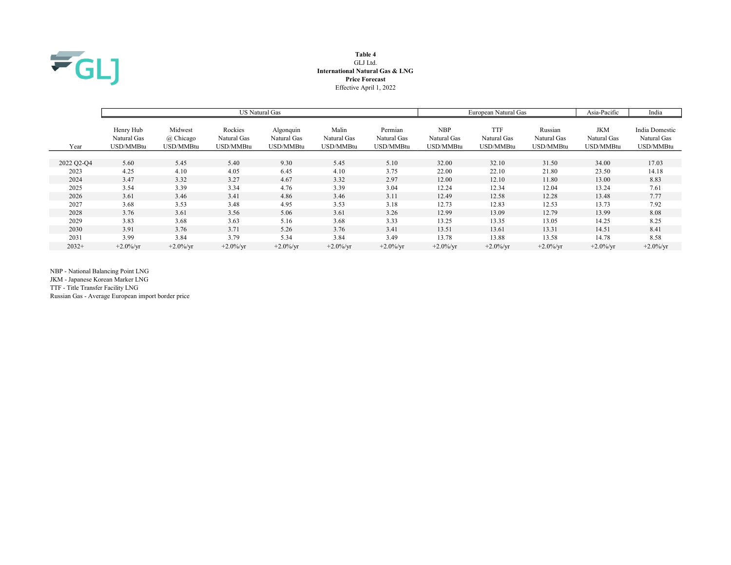

# Table 4 GLJ Ltd. International Natural Gas & LNG Price Forecast Effective April 1, 2022

|            |                                       |                                   |                                     | US Natural Gas                        |                                   | European Natural Gas                | Asia-Pacific                           | India                                  |                                     |                                        |                                            |
|------------|---------------------------------------|-----------------------------------|-------------------------------------|---------------------------------------|-----------------------------------|-------------------------------------|----------------------------------------|----------------------------------------|-------------------------------------|----------------------------------------|--------------------------------------------|
| Year       | Henry Hub<br>Natural Gas<br>USD/MMBtu | Midwest<br>@ Chicago<br>USD/MMBtu | Rockies<br>Natural Gas<br>USD/MMBtu | Algonquin<br>Natural Gas<br>USD/MMBtu | Malin<br>Natural Gas<br>USD/MMBtu | Permian<br>Natural Gas<br>USD/MMBtu | <b>NBP</b><br>Natural Gas<br>USD/MMBtu | <b>TTF</b><br>Natural Gas<br>USD/MMBtu | Russian<br>Natural Gas<br>USD/MMBtu | <b>JKM</b><br>Natural Gas<br>USD/MMBtu | India Domestic<br>Natural Gas<br>USD/MMBtu |
|            |                                       |                                   |                                     |                                       |                                   |                                     |                                        |                                        |                                     |                                        |                                            |
| 2022 Q2-Q4 | 5.60                                  | 5.45                              | 5.40                                | 9.30                                  | 5.45                              | 5.10                                | 32.00                                  | 32.10                                  | 31.50                               | 34.00                                  | 17.03                                      |
| 2023       | 4.25                                  | 4.10                              | 4.05                                | 6.45                                  | 4.10                              | 3.75                                | 22.00                                  | 22.10                                  | 21.80                               | 23.50                                  | 14.18                                      |
| 2024       | 3.47                                  | 3.32                              | 3.27                                | 4.67                                  | 3.32                              | 2.97                                | 12.00                                  | 12.10                                  | 11.80                               | 13.00                                  | 8.83                                       |
| 2025       | 3.54                                  | 3.39                              | 3.34                                | 4.76                                  | 3.39                              | 3.04                                | 12.24                                  | 12.34                                  | 12.04                               | 13.24                                  | 7.61                                       |
| 2026       | 3.61                                  | 3.46                              | 3.41                                | 4.86                                  | 3.46                              | 3.11                                | 12.49                                  | 12.58                                  | 12.28                               | 13.48                                  | 7.77                                       |
| 2027       | 3.68                                  | 3.53                              | 3.48                                | 4.95                                  | 3.53                              | 3.18                                | 12.73                                  | 12.83                                  | 12.53                               | 13.73                                  | 7.92                                       |
| 2028       | 3.76                                  | 3.61                              | 3.56                                | 5.06                                  | 3.61                              | 3.26                                | 12.99                                  | 13.09                                  | 12.79                               | 13.99                                  | 8.08                                       |
| 2029       | 3.83                                  | 3.68                              | 3.63                                | 5.16                                  | 3.68                              | 3.33                                | 13.25                                  | 13.35                                  | 13.05                               | 14.25                                  | 8.25                                       |
| 2030       | 3.91                                  | 3.76                              | 3.71                                | 5.26                                  | 3.76                              | 3.41                                | 13.51                                  | 13.61                                  | 13.31                               | 14.51                                  | 8.41                                       |
| 2031       | 3.99                                  | 3.84                              | 3.79                                | 5.34                                  | 3.84                              | 3.49                                | 13.78                                  | 13.88                                  | 13.58                               | 14.78                                  | 8.58                                       |
| $2032+$    | $+2.0\%$ /yr                          | $+2.0\%$ /yr                      | $+2.0\%$ /yr                        | $+2.0\%$ /yr                          | $+2.0\%$ /yr                      | $+2.0\%$ /yr                        | $+2.0\%$ /yr                           | $+2.0\%$ /yr                           | $+2.0\%$ /yr                        | $+2.0\%$ /yr                           | $+2.0\%$ /yr                               |

NBP - National Balancing Point LNG

JKM - Japanese Korean Marker LNG

TTF - Title Transfer Facility LNG

Russian Gas - Average European import border price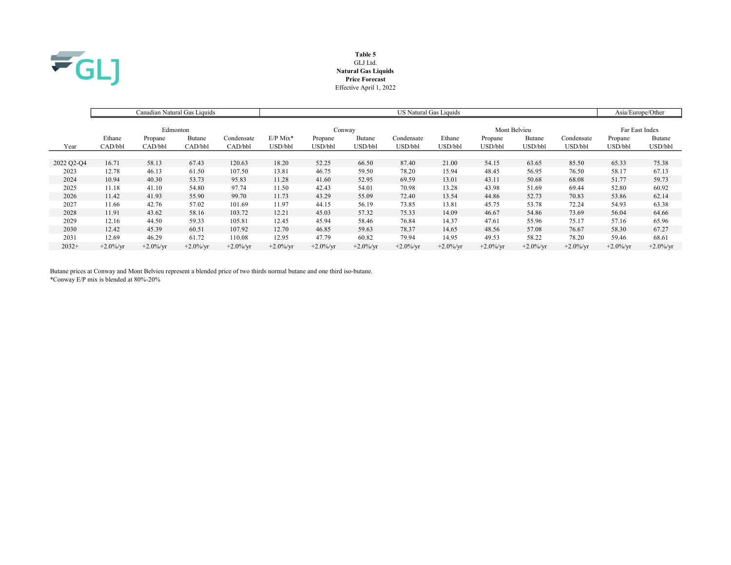

# Table 5 GLJ Ltd. Natural Gas Liquids Price Forecast Effective April 1, 2022

|            |              |              | Canadian Natural Gas Liquids |              | US Natural Gas Liquids |              |              |              |              |              |              |              | Asia/Europe/Other |              |
|------------|--------------|--------------|------------------------------|--------------|------------------------|--------------|--------------|--------------|--------------|--------------|--------------|--------------|-------------------|--------------|
|            |              | Edmonton     |                              |              | Conway                 |              |              |              | Mont Belvieu |              |              |              | Far East Index    |              |
|            | Ethane       | Propane      | Butane                       | Condensate   | $E/P$ Mix*             | Propane      | Butane       | Condensate   | Ethane       | Propane      | Butane       | Condensate   | Propane           | Butane       |
| Year       | CAD/bbl      | CAD/bbl      | CAD/bbl                      | CAD/bbl      | USD/bbl                | USD/bbl      | USD/bbl      | USD/bbl      | USD/bbl      | USD/bbl      | USD/bbl      | USD/bbl      | USD/bbl           | USD/bbl      |
|            |              |              |                              |              |                        |              |              |              |              |              |              |              |                   |              |
| 2022 Q2-Q4 | 16.71        | 58.13        | 67.43                        | 120.63       | 18.20                  | 52.25        | 66.50        | 87.40        | 21.00        | 54.15        | 63.65        | 85.50        | 65.33             | 75.38        |
| 2023       | 12.78        | 46.13        | 61.50                        | 107.50       | 13.81                  | 46.75        | 59.50        | 78.20        | 15.94        | 48.45        | 56.95        | 76.50        | 58.17             | 67.13        |
| 2024       | 10.94        | 40.30        | 53.73                        | 95.83        | 11.28                  | 41.60        | 52.95        | 69.59        | 13.01        | 43.11        | 50.68        | 68.08        | 51.77             | 59.73        |
| 2025       | 11.18        | 41.10        | 54.80                        | 97.74        | 11.50                  | 42.43        | 54.01        | 70.98        | 13.28        | 43.98        | 51.69        | 69.44        | 52.80             | 60.92        |
| 2026       | 11.42        | 41.93        | 55.90                        | 99.70        | 11.73                  | 43.29        | 55.09        | 72.40        | 13.54        | 44.86        | 52.73        | 70.83        | 53.86             | 62.14        |
| 2027       | 11.66        | 42.76        | 57.02                        | 101.69       | 11.97                  | 44.15        | 56.19        | 73.85        | 13.81        | 45.75        | 53.78        | 72.24        | 54.93             | 63.38        |
| 2028       | 11.91        | 43.62        | 58.16                        | 103.72       | 12.21                  | 45.03        | 57.32        | 75.33        | 14.09        | 46.67        | 54.86        | 73.69        | 56.04             | 64.66        |
| 2029       | 12.16        | 44.50        | 59.33                        | 105.81       | 12.45                  | 45.94        | 58.46        | 76.84        | 14.37        | 47.61        | 55.96        | 75.17        | 57.16             | 65.96        |
| 2030       | 12.42        | 45.39        | 60.51                        | 107.92       | 12.70                  | 46.85        | 59.63        | 78.37        | 14.65        | 48.56        | 57.08        | 76.67        | 58.30             | 67.27        |
| 2031       | 12.69        | 46.29        | 61.72                        | 110.08       | 12.95                  | 47.79        | 60.82        | 79.94        | 14.95        | 49.53        | 58.22        | 78.20        | 59.46             | 68.61        |
| $2032+$    | $+2.0\%$ /yr | $+2.0\%$ /yr | $+2.0\%$ /yr                 | $+2.0\%$ /yr | $+2.0\%$ /yr           | $+2.0\%$ /yr | $+2.0\%$ /yr | $+2.0\%$ /yr | $+2.0\%$ /yr | $+2.0\%$ /yr | $+2.0\%$ /yr | $+2.0\%$ /yr | $+2.0\%$ /yr      | $+2.0\%$ /yr |

Butane prices at Conway and Mont Belvieu represent a blended price of two thirds normal butane and one third iso-butane. \*Conway E/P mix is blended at 80%-20%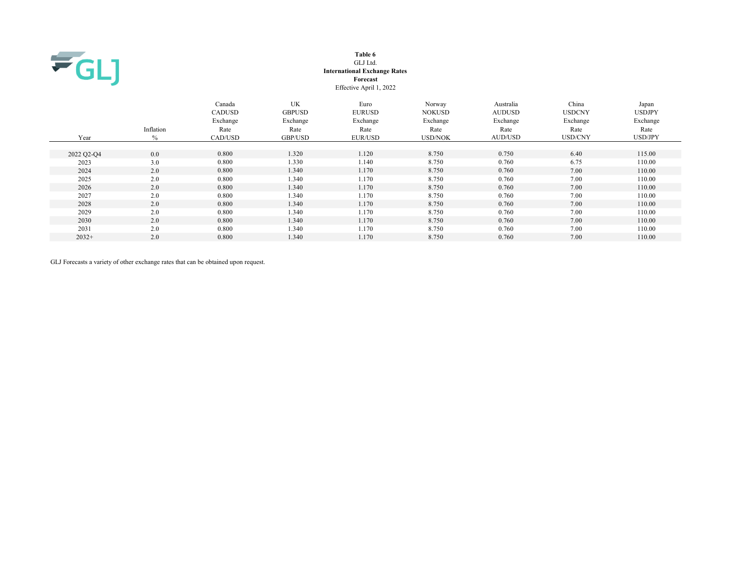

#### Table 6 GLJ Ltd. International Exchange Rates Forecast Effective April 1, 2022

 Canada UK Euro Norway Australia China Japan CADUSD GBPUSD EURUSD NOKUSD AUDUSD USDCNY USDJPY Exchange Exchange Exchange Exchange Exchange Exchange Exchange Inflation Rate Rate Rate Rate Rate Rate Rate Year % CAD/USD GBP/USD EUR/USD USD/NOK AUD/USD USD/CNY USD/JPY 2022 Q2-Q4 0.0 0.800 1.320 1.120 8.750 0.750 6.40 115.00 2023 3.0 0.800 1.330 1.140 8.750 0.760 6.75 110.00 2024 2.0 0.800 1.340 1.170 8.750 0.760 7.00 110.00 2025 2.0 0.800 1.340 1.170 8.750 0.760 7.00 110.00 2026 2.0 0.800 1.340 1.170 8.750 0.760 7.00 110.00 2027 2.0 0.800 1.340 1.170 8.750 0.760 7.00 110.00 2028 2.0 0.800 1.340 1.170 8.750 0.760 7.00 110.00 2029 2.0 0.800 1.340 1.170 8.750 0.760 7.00 110.00 2030 2.0 0.800 1.340 1.170 8.750 0.760 7.00 110.00 2031 2.0 0.800 1.340 1.170 8.750 0.760 7.00 110.00 2032+ 2.0 0.800 1.340 1.170 8.750 0.760 7.00 110.00

GLJ Forecasts a variety of other exchange rates that can be obtained upon request.